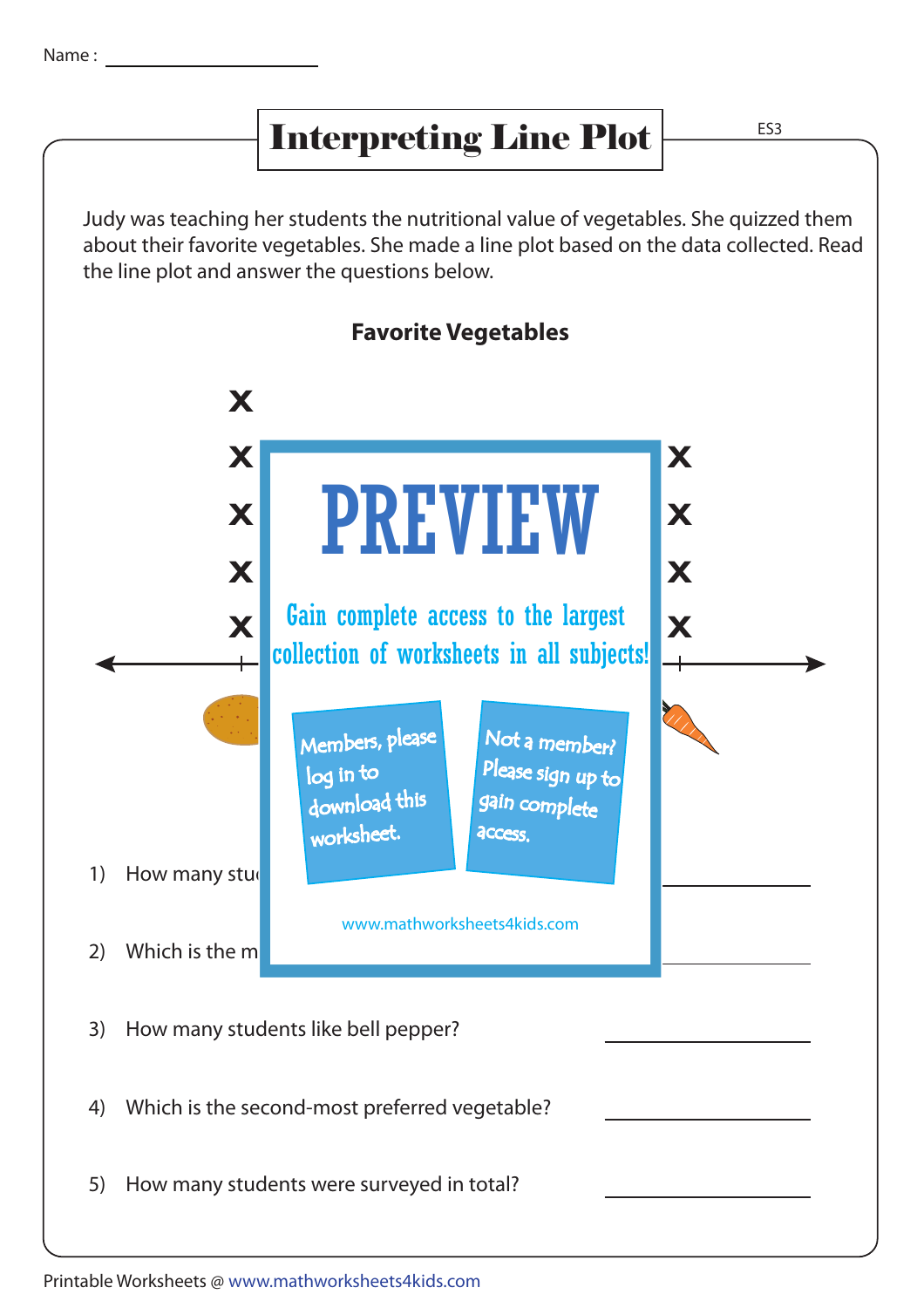## Interpreting Line Plot

Judy was teaching her students the nutritional value of vegetables. She quizzed them about their favorite vegetables. She made a line plot based on the data collected. Read the line plot and answer the questions below.



5) How many students were surveyed in total?